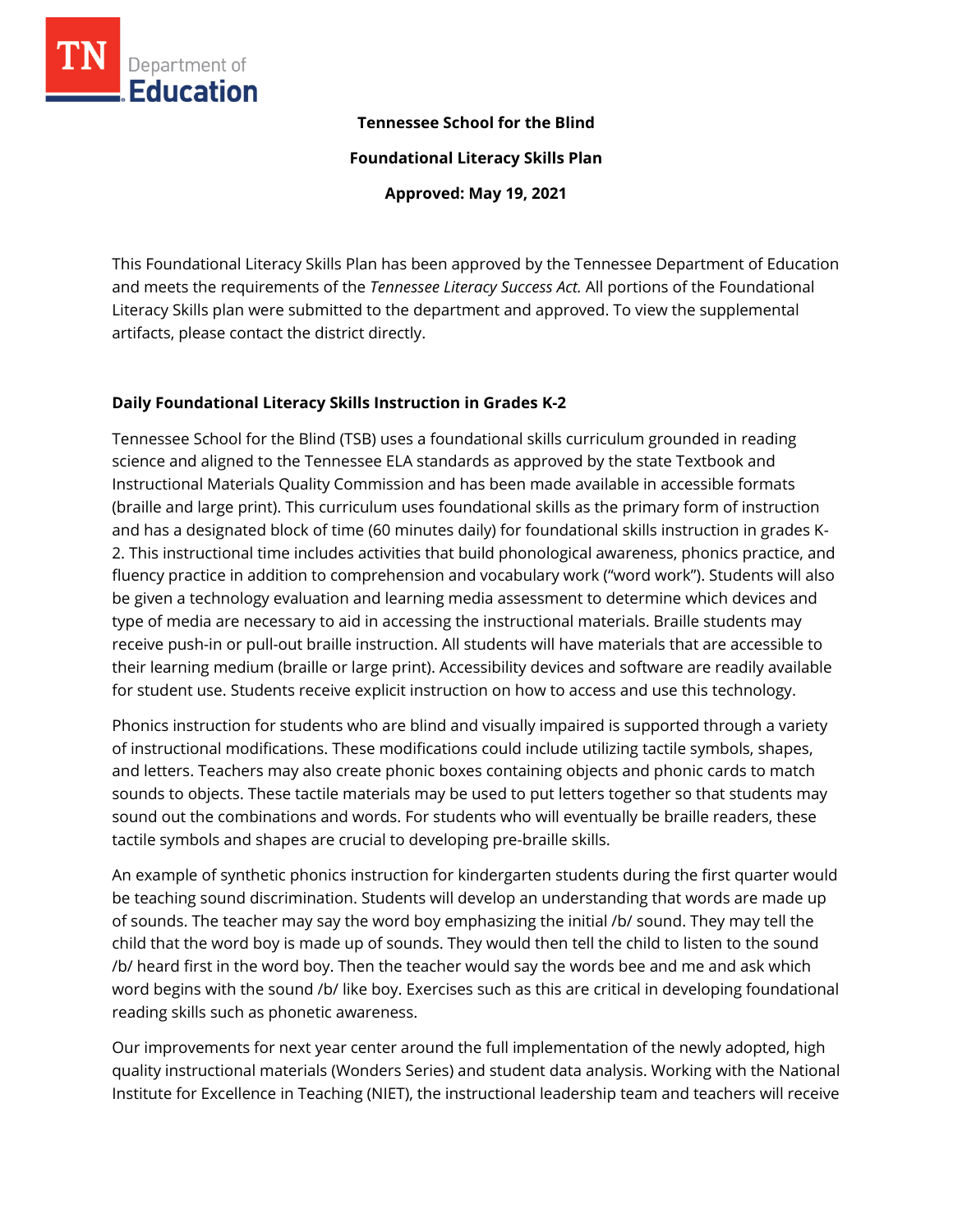

## **Tennessee School for the Blind**

**Foundational Literacy Skills Plan**

**Approved: May 19, 2021**

This Foundational Literacy Skills Plan has been approved by the Tennessee Department of Education and meets the requirements of the *Tennessee Literacy Success Act.* All portions of the Foundational Literacy Skills plan were submitted to the department and approved. To view the supplemental artifacts, please contact the district directly.

## **Daily Foundational Literacy Skills Instruction in Grades K-2**

Tennessee School for the Blind (TSB) uses a foundational skills curriculum grounded in reading science and aligned to the Tennessee ELA standards as approved by the state Textbook and Instructional Materials Quality Commission and has been made available in accessible formats (braille and large print). This curriculum uses foundational skills as the primary form of instruction and has a designated block of time (60 minutes daily) for foundational skills instruction in grades K-2. This instructional time includes activities that build phonological awareness, phonics practice, and fluency practice in addition to comprehension and vocabulary work ("word work"). Students will also be given a technology evaluation and learning media assessment to determine which devices and type of media are necessary to aid in accessing the instructional materials. Braille students may receive push-in or pull-out braille instruction. All students will have materials that are accessible to their learning medium (braille or large print). Accessibility devices and software are readily available for student use. Students receive explicit instruction on how to access and use this technology.

Phonics instruction for students who are blind and visually impaired is supported through a variety of instructional modifications. These modifications could include utilizing tactile symbols, shapes, and letters. Teachers may also create phonic boxes containing objects and phonic cards to match sounds to objects. These tactile materials may be used to put letters together so that students may sound out the combinations and words. For students who will eventually be braille readers, these tactile symbols and shapes are crucial to developing pre-braille skills.

An example of synthetic phonics instruction for kindergarten students during the first quarter would be teaching sound discrimination. Students will develop an understanding that words are made up of sounds. The teacher may say the word boy emphasizing the initial /b/ sound. They may tell the child that the word boy is made up of sounds. They would then tell the child to listen to the sound /b/ heard first in the word boy. Then the teacher would say the words bee and me and ask which word begins with the sound /b/ like boy. Exercises such as this are critical in developing foundational reading skills such as phonetic awareness.

Our improvements for next year center around the full implementation of the newly adopted, high quality instructional materials (Wonders Series) and student data analysis. Working with the National Institute for Excellence in Teaching (NIET), the instructional leadership team and teachers will receive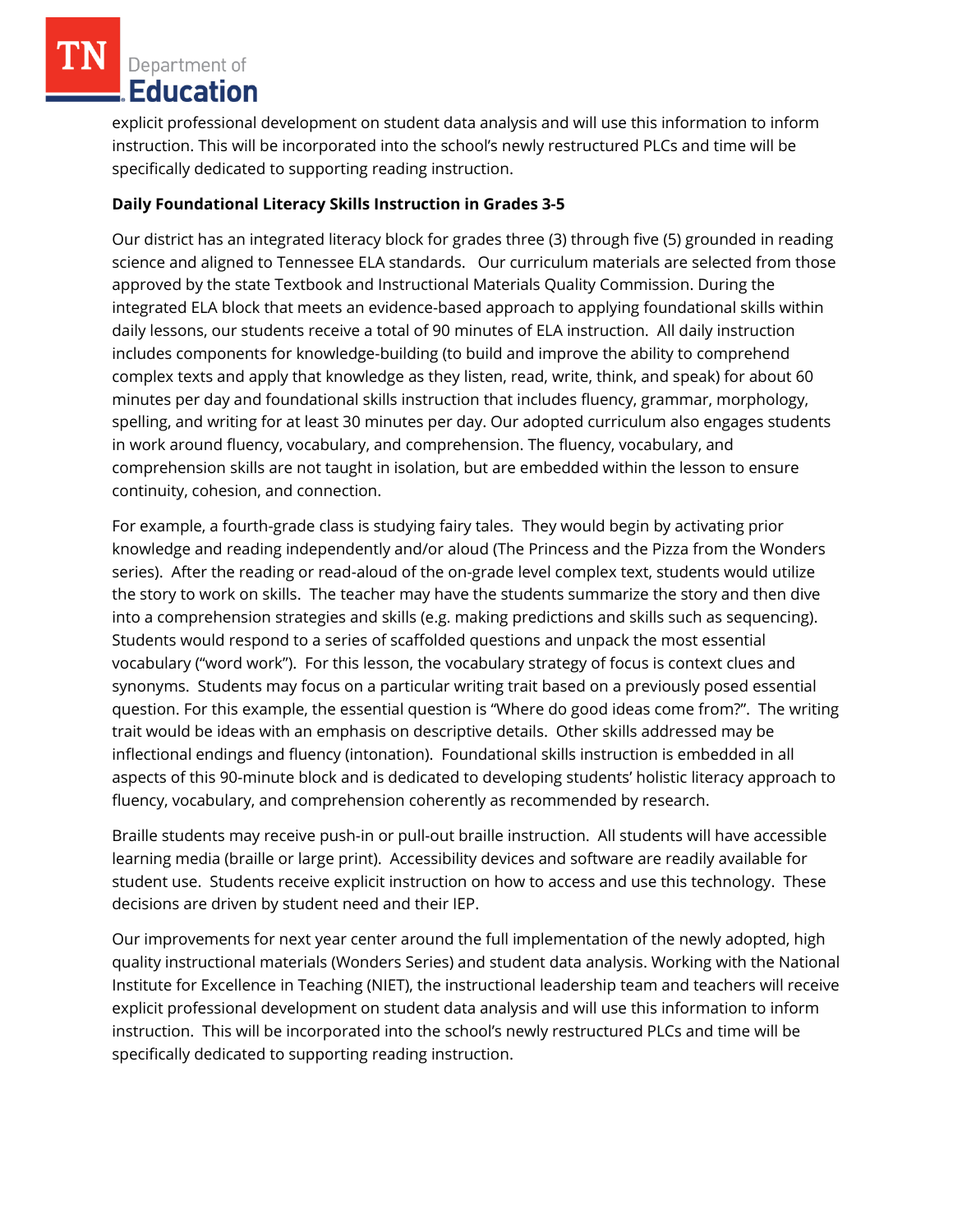explicit professional development on student data analysis and will use this information to inform instruction. This will be incorporated into the school's newly restructured PLCs and time will be specifically dedicated to supporting reading instruction.

## **Daily Foundational Literacy Skills Instruction in Grades 3-5**

Our district has an integrated literacy block for grades three (3) through five (5) grounded in reading science and aligned to Tennessee ELA standards. Our curriculum materials are selected from those approved by the state Textbook and Instructional Materials Quality Commission. During the integrated ELA block that meets an evidence-based approach to applying foundational skills within daily lessons, our students receive a total of 90 minutes of ELA instruction. All daily instruction includes components for knowledge-building (to build and improve the ability to comprehend complex texts and apply that knowledge as they listen, read, write, think, and speak) for about 60 minutes per day and foundational skills instruction that includes fluency, grammar, morphology, spelling, and writing for at least 30 minutes per day. Our adopted curriculum also engages students in work around fluency, vocabulary, and comprehension. The fluency, vocabulary, and comprehension skills are not taught in isolation, but are embedded within the lesson to ensure continuity, cohesion, and connection.

For example, a fourth-grade class is studying fairy tales. They would begin by activating prior knowledge and reading independently and/or aloud (The Princess and the Pizza from the Wonders series). After the reading or read-aloud of the on-grade level complex text, students would utilize the story to work on skills. The teacher may have the students summarize the story and then dive into a comprehension strategies and skills (e.g. making predictions and skills such as sequencing). Students would respond to a series of scaffolded questions and unpack the most essential vocabulary ("word work"). For this lesson, the vocabulary strategy of focus is context clues and synonyms. Students may focus on a particular writing trait based on a previously posed essential question. For this example, the essential question is "Where do good ideas come from?". The writing trait would be ideas with an emphasis on descriptive details. Other skills addressed may be inflectional endings and fluency (intonation). Foundational skills instruction is embedded in all aspects of this 90-minute block and is dedicated to developing students' holistic literacy approach to fluency, vocabulary, and comprehension coherently as recommended by research.

Braille students may receive push-in or pull-out braille instruction. All students will have accessible learning media (braille or large print). Accessibility devices and software are readily available for student use. Students receive explicit instruction on how to access and use this technology. These decisions are driven by student need and their IEP.

Our improvements for next year center around the full implementation of the newly adopted, high quality instructional materials (Wonders Series) and student data analysis. Working with the National Institute for Excellence in Teaching (NIET), the instructional leadership team and teachers will receive explicit professional development on student data analysis and will use this information to inform instruction. This will be incorporated into the school's newly restructured PLCs and time will be specifically dedicated to supporting reading instruction.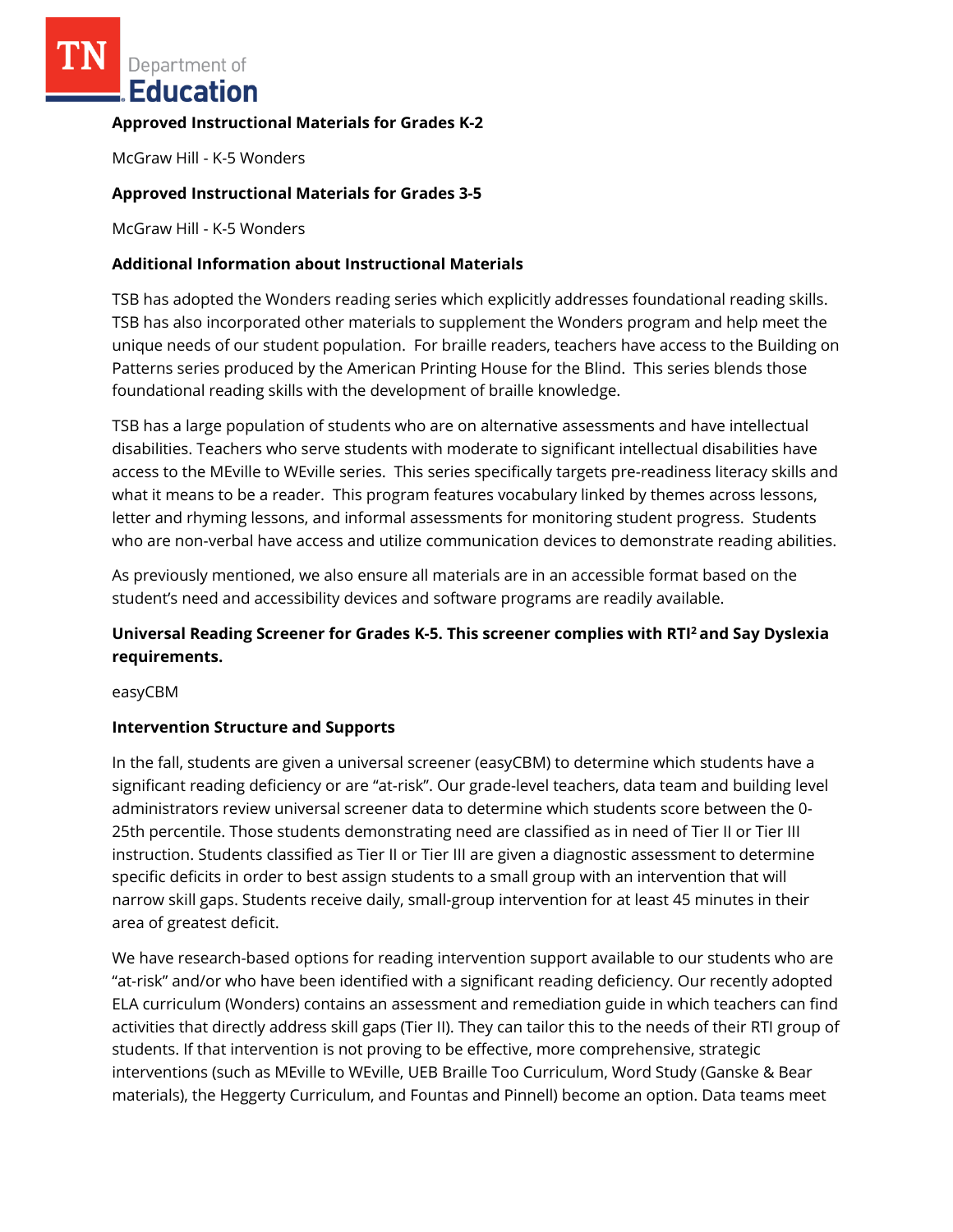## **Approved Instructional Materials for Grades K-2**

McGraw Hill - K-5 Wonders

## **Approved Instructional Materials for Grades 3-5**

McGraw Hill - K-5 Wonders

## **Additional Information about Instructional Materials**

TSB has adopted the Wonders reading series which explicitly addresses foundational reading skills. TSB has also incorporated other materials to supplement the Wonders program and help meet the unique needs of our student population. For braille readers, teachers have access to the Building on Patterns series produced by the American Printing House for the Blind. This series blends those foundational reading skills with the development of braille knowledge.

TSB has a large population of students who are on alternative assessments and have intellectual disabilities. Teachers who serve students with moderate to significant intellectual disabilities have access to the MEville to WEville series. This series specifically targets pre-readiness literacy skills and what it means to be a reader. This program features vocabulary linked by themes across lessons, letter and rhyming lessons, and informal assessments for monitoring student progress. Students who are non-verbal have access and utilize communication devices to demonstrate reading abilities.

As previously mentioned, we also ensure all materials are in an accessible format based on the student's need and accessibility devices and software programs are readily available.

# **Universal Reading Screener for Grades K-5. This screener complies with RTI<sup>2</sup>and Say Dyslexia requirements.**

easyCBM

## **Intervention Structure and Supports**

In the fall, students are given a universal screener (easyCBM) to determine which students have a significant reading deficiency or are "at-risk". Our grade-level teachers, data team and building level administrators review universal screener data to determine which students score between the 0- 25th percentile. Those students demonstrating need are classified as in need of Tier II or Tier III instruction. Students classified as Tier II or Tier III are given a diagnostic assessment to determine specific deficits in order to best assign students to a small group with an intervention that will narrow skill gaps. Students receive daily, small-group intervention for at least 45 minutes in their area of greatest deficit.

We have research-based options for reading intervention support available to our students who are "at-risk" and/or who have been identified with a significant reading deficiency. Our recently adopted ELA curriculum (Wonders) contains an assessment and remediation guide in which teachers can find activities that directly address skill gaps (Tier II). They can tailor this to the needs of their RTI group of students. If that intervention is not proving to be effective, more comprehensive, strategic interventions (such as MEville to WEville, UEB Braille Too Curriculum, Word Study (Ganske & Bear materials), the Heggerty Curriculum, and Fountas and Pinnell) become an option. Data teams meet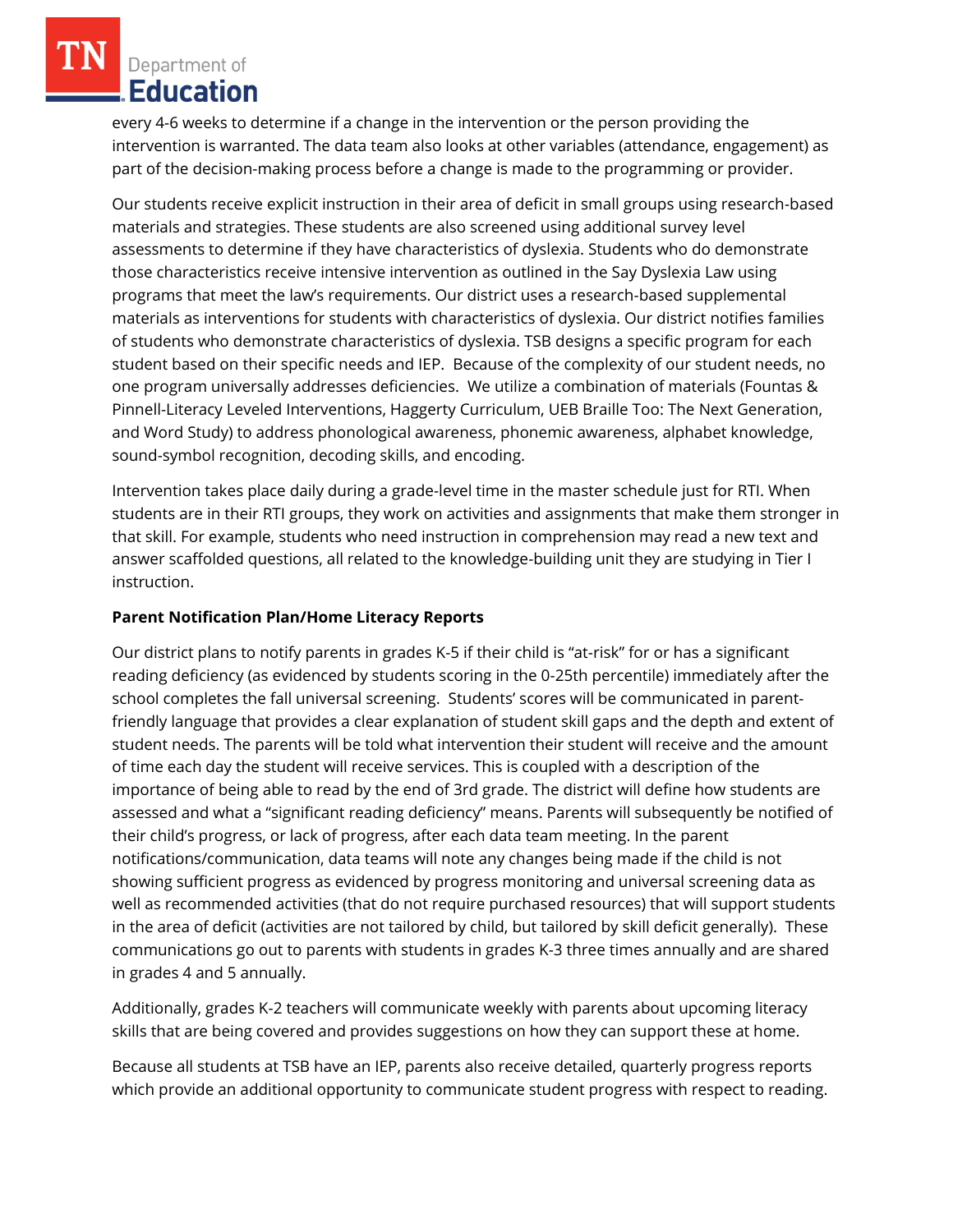every 4-6 weeks to determine if a change in the intervention or the person providing the intervention is warranted. The data team also looks at other variables (attendance, engagement) as part of the decision-making process before a change is made to the programming or provider.

Our students receive explicit instruction in their area of deficit in small groups using research-based materials and strategies. These students are also screened using additional survey level assessments to determine if they have characteristics of dyslexia. Students who do demonstrate those characteristics receive intensive intervention as outlined in the Say Dyslexia Law using programs that meet the law's requirements. Our district uses a research-based supplemental materials as interventions for students with characteristics of dyslexia. Our district notifies families of students who demonstrate characteristics of dyslexia. TSB designs a specific program for each student based on their specific needs and IEP. Because of the complexity of our student needs, no one program universally addresses deficiencies. We utilize a combination of materials (Fountas & Pinnell-Literacy Leveled Interventions, Haggerty Curriculum, UEB Braille Too: The Next Generation, and Word Study) to address phonological awareness, phonemic awareness, alphabet knowledge, sound-symbol recognition, decoding skills, and encoding.

Intervention takes place daily during a grade-level time in the master schedule just for RTI. When students are in their RTI groups, they work on activities and assignments that make them stronger in that skill. For example, students who need instruction in comprehension may read a new text and answer scaffolded questions, all related to the knowledge-building unit they are studying in Tier I instruction.

## **Parent Notification Plan/Home Literacy Reports**

Our district plans to notify parents in grades K-5 if their child is "at-risk" for or has a significant reading deficiency (as evidenced by students scoring in the 0-25th percentile) immediately after the school completes the fall universal screening. Students' scores will be communicated in parentfriendly language that provides a clear explanation of student skill gaps and the depth and extent of student needs. The parents will be told what intervention their student will receive and the amount of time each day the student will receive services. This is coupled with a description of the importance of being able to read by the end of 3rd grade. The district will define how students are assessed and what a "significant reading deficiency" means. Parents will subsequently be notified of their child's progress, or lack of progress, after each data team meeting. In the parent notifications/communication, data teams will note any changes being made if the child is not showing sufficient progress as evidenced by progress monitoring and universal screening data as well as recommended activities (that do not require purchased resources) that will support students in the area of deficit (activities are not tailored by child, but tailored by skill deficit generally). These communications go out to parents with students in grades K-3 three times annually and are shared in grades 4 and 5 annually.

Additionally, grades K-2 teachers will communicate weekly with parents about upcoming literacy skills that are being covered and provides suggestions on how they can support these at home.

Because all students at TSB have an IEP, parents also receive detailed, quarterly progress reports which provide an additional opportunity to communicate student progress with respect to reading.